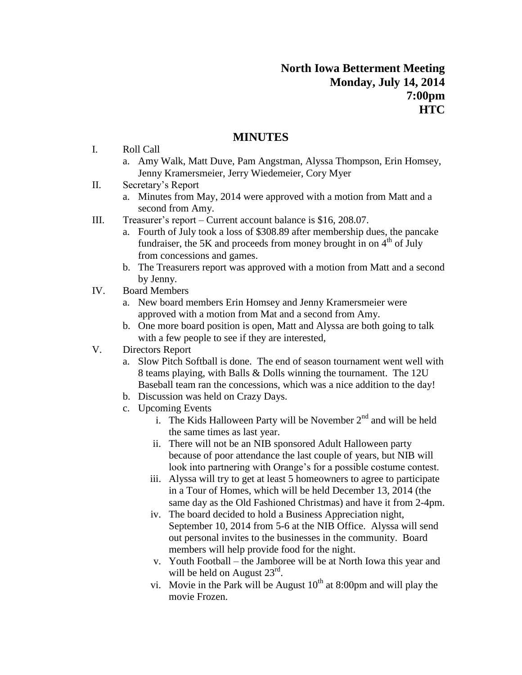## **MINUTES**

- I. Roll Call
	- a. Amy Walk, Matt Duve, Pam Angstman, Alyssa Thompson, Erin Homsey, Jenny Kramersmeier, Jerry Wiedemeier, Cory Myer
- II. Secretary's Report
	- a. Minutes from May, 2014 were approved with a motion from Matt and a second from Amy.
- III. Treasurer's report Current account balance is \$16, 208.07.
	- a. Fourth of July took a loss of \$308.89 after membership dues, the pancake fundraiser, the 5K and proceeds from money brought in on  $4<sup>th</sup>$  of July from concessions and games.
	- b. The Treasurers report was approved with a motion from Matt and a second by Jenny.
- IV. Board Members
	- a. New board members Erin Homsey and Jenny Kramersmeier were approved with a motion from Mat and a second from Amy.
	- b. One more board position is open, Matt and Alyssa are both going to talk with a few people to see if they are interested,
- V. Directors Report
	- a. Slow Pitch Softball is done. The end of season tournament went well with 8 teams playing, with Balls & Dolls winning the tournament. The 12U Baseball team ran the concessions, which was a nice addition to the day!
	- b. Discussion was held on Crazy Days.
	- c. Upcoming Events
		- i. The Kids Halloween Party will be November  $2<sup>nd</sup>$  and will be held the same times as last year.
		- ii. There will not be an NIB sponsored Adult Halloween party because of poor attendance the last couple of years, but NIB will look into partnering with Orange's for a possible costume contest.
		- iii. Alyssa will try to get at least 5 homeowners to agree to participate in a Tour of Homes, which will be held December 13, 2014 (the same day as the Old Fashioned Christmas) and have it from 2-4pm.
		- iv. The board decided to hold a Business Appreciation night, September 10, 2014 from 5-6 at the NIB Office. Alyssa will send out personal invites to the businesses in the community. Board members will help provide food for the night.
		- v. Youth Football the Jamboree will be at North Iowa this year and will be held on August  $23^{\text{rd}}$ .
		- vi. Movie in the Park will be August  $10<sup>th</sup>$  at 8:00pm and will play the movie Frozen.